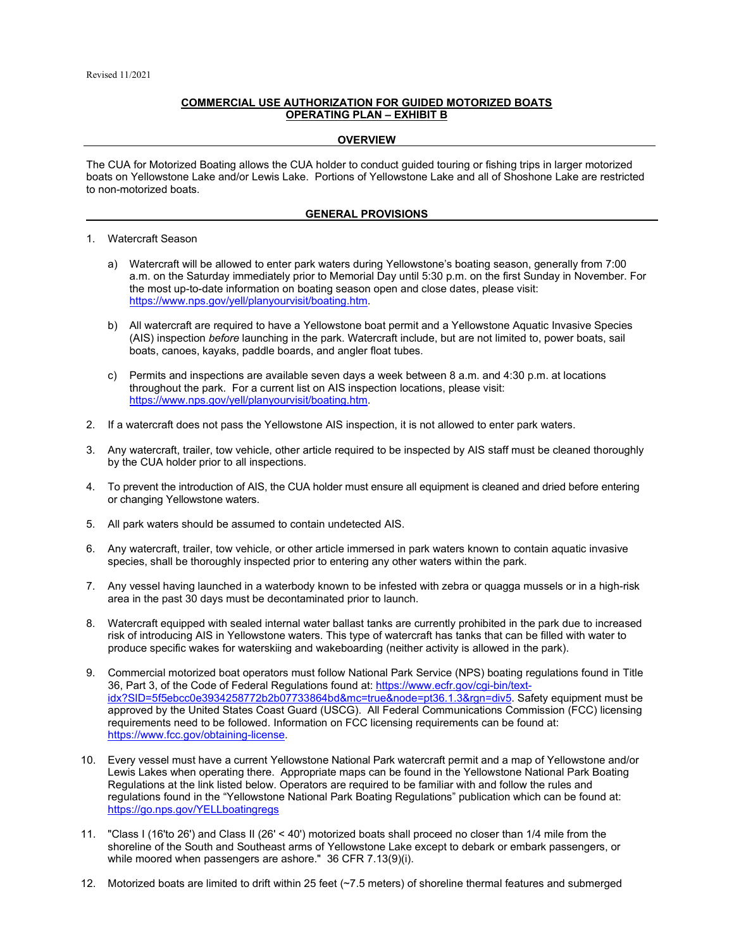## **COMMERCIAL USE AUTHORIZATION FOR GUIDED MOTORIZED BOATS OPERATING PLAN – EXHIBIT B**

## **OVERVIEW**

The CUA for Motorized Boating allows the CUA holder to conduct guided touring or fishing trips in larger motorized boats on Yellowstone Lake and/or Lewis Lake. Portions of Yellowstone Lake and all of Shoshone Lake are restricted to non-motorized boats.

## **GENERAL PROVISIONS**

- 1. Watercraft Season
	- a) Watercraft will be allowed to enter park waters during Yellowstone's boating season, generally from 7:00 a.m. on the Saturday immediately prior to Memorial Day until 5:30 p.m. on the first Sunday in November. For the most up-to-date information on boating season open and close dates, please visit: [https://www.nps.gov/yell/planyourvisit/boating.htm.](https://www.nps.gov/yell/planyourvisit/boating.htm)
	- b) All watercraft are required to have a Yellowstone boat permit and a Yellowstone Aquatic Invasive Species (AIS) inspection *before* launching in the park. Watercraft include, but are not limited to, power boats, sail boats, canoes, kayaks, paddle boards, and angler float tubes.
	- c) Permits and inspections are available seven days a week between 8 a.m. and 4:30 p.m. at locations throughout the park. For a current list on AIS inspection locations, please visit: [https://www.nps.gov/yell/planyourvisit/boating.htm.](https://www.nps.gov/yell/planyourvisit/boating.htm)
- 2. If a watercraft does not pass the Yellowstone AIS inspection, it is not allowed to enter park waters.
- 3. Any watercraft, trailer, tow vehicle, other article required to be inspected by AIS staff must be cleaned thoroughly by the CUA holder prior to all inspections.
- 4. To prevent the introduction of AIS, the CUA holder must ensure all equipment is cleaned and dried before entering or changing Yellowstone waters.
- 5. All park waters should be assumed to contain undetected AIS.
- 6. Any watercraft, trailer, tow vehicle, or other article immersed in park waters known to contain aquatic invasive species, shall be thoroughly inspected prior to entering any other waters within the park.
- 7. Any vessel having launched in a waterbody known to be infested with zebra or quagga mussels or in a high-risk area in the past 30 days must be decontaminated prior to launch.
- 8. Watercraft equipped with sealed internal water ballast tanks are currently prohibited in the park due to increased risk of introducing AIS in Yellowstone waters. This type of watercraft has tanks that can be filled with water to produce specific wakes for waterskiing and wakeboarding (neither activity is allowed in the park).
- 9. Commercial motorized boat operators must follow National Park Service (NPS) boating regulations found in Title 36, Part 3, of the Code of Federal Regulations found at[: https://www.ecfr.gov/cgi-bin/text](https://www.ecfr.gov/cgi-bin/text-idx?SID=5f5ebcc0e3934258772b2b07733864bd&mc=true&node=pt36.1.3&rgn=div5)[idx?SID=5f5ebcc0e3934258772b2b07733864bd&mc=true&node=pt36.1.3&rgn=div5.](https://www.ecfr.gov/cgi-bin/text-idx?SID=5f5ebcc0e3934258772b2b07733864bd&mc=true&node=pt36.1.3&rgn=div5) Safety equipment must be approved by the United States Coast Guard (USCG). All Federal Communications Commission (FCC) licensing requirements need to be followed. Information on FCC licensing requirements can be found at: [https://www.fcc.gov/obtaining-license.](https://www.fcc.gov/obtaining-license)
- 10. Every vessel must have a current Yellowstone National Park watercraft permit and a map of Yellowstone and/or Lewis Lakes when operating there. Appropriate maps can be found in the Yellowstone National Park Boating Regulations at the link listed below. Operators are required to be familiar with and follow the rules and regulations found in the "Yellowstone National Park Boating Regulations" publication which can be found at: <https://go.nps.gov/YELLboatingregs>
- 11. "Class I (16'to 26') and Class II (26' < 40') motorized boats shall proceed no closer than 1/4 mile from the shoreline of the South and Southeast arms of Yellowstone Lake except to debark or embark passengers, or while moored when passengers are ashore." 36 CFR 7.13(9)(i).
- 12. Motorized boats are limited to drift within 25 feet (~7.5 meters) of shoreline thermal features and submerged